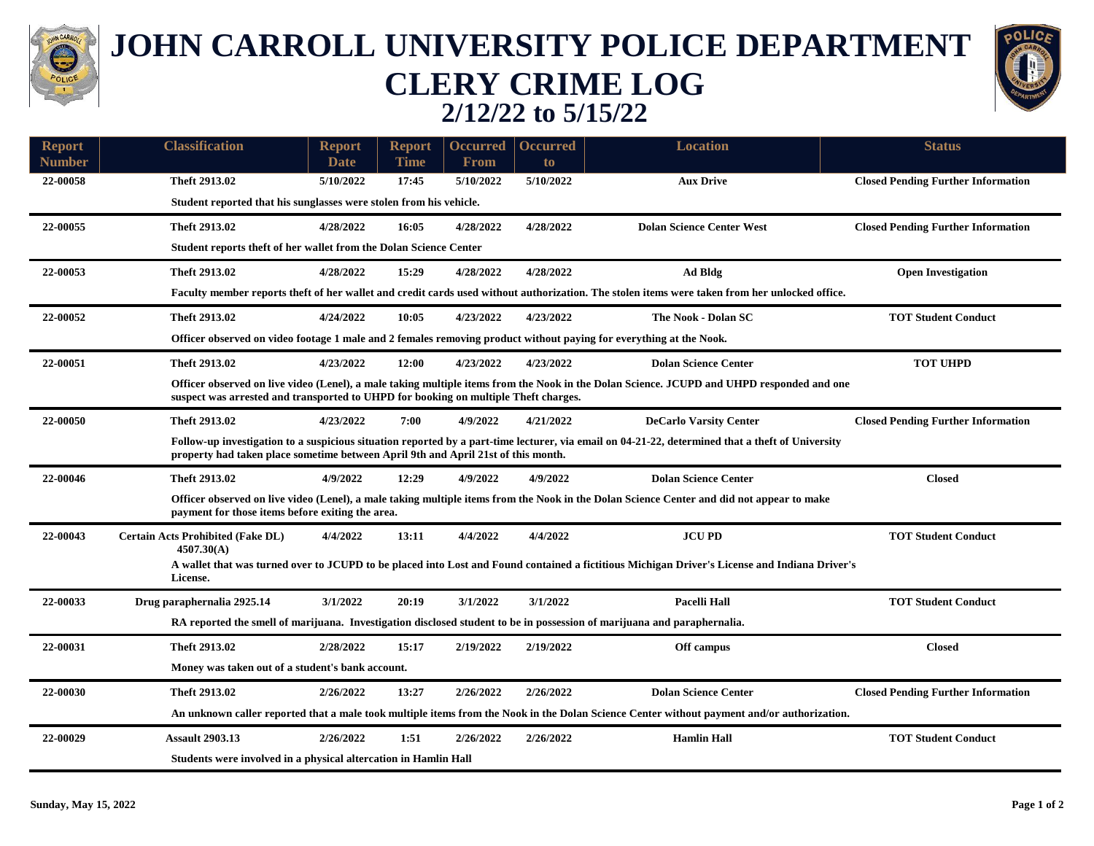

## **JOHN CARROLL UNIVERSITY POLICE DEPARTMENT CLERY CRIME LOG 2/12/22 to 5/15/22**



| <b>Report</b><br><b>Number</b> | <b>Classification</b>                                                                                                                                                                                                                 | <b>Report</b><br>Date                                                                                                                                                                                                            | <b>Report</b><br><b>Time</b> | <b>Occurred</b><br><b>From</b> | <b>Occurred</b><br>to | <b>Location</b>                                                                                                                               | <b>Status</b>                             |  |  |  |  |
|--------------------------------|---------------------------------------------------------------------------------------------------------------------------------------------------------------------------------------------------------------------------------------|----------------------------------------------------------------------------------------------------------------------------------------------------------------------------------------------------------------------------------|------------------------------|--------------------------------|-----------------------|-----------------------------------------------------------------------------------------------------------------------------------------------|-------------------------------------------|--|--|--|--|
| 22-00058                       | Theft 2913.02                                                                                                                                                                                                                         | 5/10/2022                                                                                                                                                                                                                        | 17:45                        | 5/10/2022                      | 5/10/2022             | <b>Aux Drive</b>                                                                                                                              | <b>Closed Pending Further Information</b> |  |  |  |  |
|                                | Student reported that his sunglasses were stolen from his vehicle.                                                                                                                                                                    |                                                                                                                                                                                                                                  |                              |                                |                       |                                                                                                                                               |                                           |  |  |  |  |
| 22-00055                       | Theft 2913.02                                                                                                                                                                                                                         | 4/28/2022                                                                                                                                                                                                                        | 16:05                        | 4/28/2022                      | 4/28/2022             | <b>Dolan Science Center West</b>                                                                                                              |                                           |  |  |  |  |
|                                |                                                                                                                                                                                                                                       |                                                                                                                                                                                                                                  |                              |                                |                       |                                                                                                                                               | <b>Closed Pending Further Information</b> |  |  |  |  |
|                                | Student reports theft of her wallet from the Dolan Science Center                                                                                                                                                                     |                                                                                                                                                                                                                                  |                              |                                |                       |                                                                                                                                               |                                           |  |  |  |  |
| 22-00053                       | Theft 2913.02                                                                                                                                                                                                                         | 4/28/2022                                                                                                                                                                                                                        | 15:29                        | 4/28/2022                      | 4/28/2022             | Ad Bldg                                                                                                                                       | <b>Open Investigation</b>                 |  |  |  |  |
|                                | Faculty member reports theft of her wallet and credit cards used without authorization. The stolen items were taken from her unlocked office.                                                                                         |                                                                                                                                                                                                                                  |                              |                                |                       |                                                                                                                                               |                                           |  |  |  |  |
| 22-00052                       | Theft 2913.02                                                                                                                                                                                                                         | 4/24/2022                                                                                                                                                                                                                        | 10:05                        | 4/23/2022                      | 4/23/2022             | The Nook - Dolan SC                                                                                                                           | <b>TOT Student Conduct</b>                |  |  |  |  |
|                                | Officer observed on video footage 1 male and 2 females removing product without paying for everything at the Nook.                                                                                                                    |                                                                                                                                                                                                                                  |                              |                                |                       |                                                                                                                                               |                                           |  |  |  |  |
| 22-00051                       | Theft 2913.02                                                                                                                                                                                                                         | 4/23/2022                                                                                                                                                                                                                        | 12:00                        | 4/23/2022                      | 4/23/2022             | <b>Dolan Science Center</b>                                                                                                                   | <b>TOT UHPD</b>                           |  |  |  |  |
|                                |                                                                                                                                                                                                                                       | Officer observed on live video (Lenel), a male taking multiple items from the Nook in the Dolan Science. JCUPD and UHPD responded and one<br>suspect was arrested and transported to UHPD for booking on multiple Theft charges. |                              |                                |                       |                                                                                                                                               |                                           |  |  |  |  |
| 22-00050                       | Theft 2913.02                                                                                                                                                                                                                         | 4/23/2022                                                                                                                                                                                                                        | 7:00                         | 4/9/2022                       | 4/21/2022             | <b>DeCarlo Varsity Center</b>                                                                                                                 | <b>Closed Pending Further Information</b> |  |  |  |  |
|                                | Follow-up investigation to a suspicious situation reported by a part-time lecturer, via email on 04-21-22, determined that a theft of University<br>property had taken place sometime between April 9th and April 21st of this month. |                                                                                                                                                                                                                                  |                              |                                |                       |                                                                                                                                               |                                           |  |  |  |  |
| 22-00046                       | Theft 2913.02                                                                                                                                                                                                                         | 4/9/2022                                                                                                                                                                                                                         | 12:29                        | 4/9/2022                       | 4/9/2022              | <b>Dolan Science Center</b>                                                                                                                   | <b>Closed</b>                             |  |  |  |  |
|                                |                                                                                                                                                                                                                                       | Officer observed on live video (Lenel), a male taking multiple items from the Nook in the Dolan Science Center and did not appear to make<br>payment for those items before exiting the area.                                    |                              |                                |                       |                                                                                                                                               |                                           |  |  |  |  |
| 22-00043                       | <b>Certain Acts Prohibited (Fake DL)</b>                                                                                                                                                                                              | 4/4/2022                                                                                                                                                                                                                         | 13:11                        | 4/4/2022                       | 4/4/2022              | <b>JCUPD</b>                                                                                                                                  | <b>TOT Student Conduct</b>                |  |  |  |  |
|                                | 4507.30(A)                                                                                                                                                                                                                            |                                                                                                                                                                                                                                  |                              |                                |                       | A wallet that was turned over to JCUPD to be placed into Lost and Found contained a fictitious Michigan Driver's License and Indiana Driver's |                                           |  |  |  |  |
|                                | License.                                                                                                                                                                                                                              |                                                                                                                                                                                                                                  |                              |                                |                       |                                                                                                                                               |                                           |  |  |  |  |
| 22-00033                       | Drug paraphernalia 2925.14                                                                                                                                                                                                            | 3/1/2022                                                                                                                                                                                                                         | 20:19                        | 3/1/2022                       | 3/1/2022              | <b>Pacelli Hall</b>                                                                                                                           | <b>TOT Student Conduct</b>                |  |  |  |  |
|                                | RA reported the smell of marijuana. Investigation disclosed student to be in possession of marijuana and paraphernalia.                                                                                                               |                                                                                                                                                                                                                                  |                              |                                |                       |                                                                                                                                               |                                           |  |  |  |  |
| 22-00031                       | Theft 2913.02                                                                                                                                                                                                                         | 2/28/2022                                                                                                                                                                                                                        | 15:17                        | 2/19/2022                      | 2/19/2022             | Off campus                                                                                                                                    | <b>Closed</b>                             |  |  |  |  |
|                                | Money was taken out of a student's bank account.                                                                                                                                                                                      |                                                                                                                                                                                                                                  |                              |                                |                       |                                                                                                                                               |                                           |  |  |  |  |
| 22-00030                       | Theft 2913.02                                                                                                                                                                                                                         | 2/26/2022                                                                                                                                                                                                                        | 13:27                        | 2/26/2022                      | 2/26/2022             | <b>Dolan Science Center</b>                                                                                                                   | <b>Closed Pending Further Information</b> |  |  |  |  |
|                                | An unknown caller reported that a male took multiple items from the Nook in the Dolan Science Center without payment and/or authorization.                                                                                            |                                                                                                                                                                                                                                  |                              |                                |                       |                                                                                                                                               |                                           |  |  |  |  |
| 22-00029                       | <b>Assault 2903.13</b>                                                                                                                                                                                                                | 2/26/2022                                                                                                                                                                                                                        | 1:51                         | 2/26/2022                      | 2/26/2022             | <b>Hamlin Hall</b>                                                                                                                            | <b>TOT Student Conduct</b>                |  |  |  |  |
|                                | Students were involved in a physical altercation in Hamlin Hall                                                                                                                                                                       |                                                                                                                                                                                                                                  |                              |                                |                       |                                                                                                                                               |                                           |  |  |  |  |